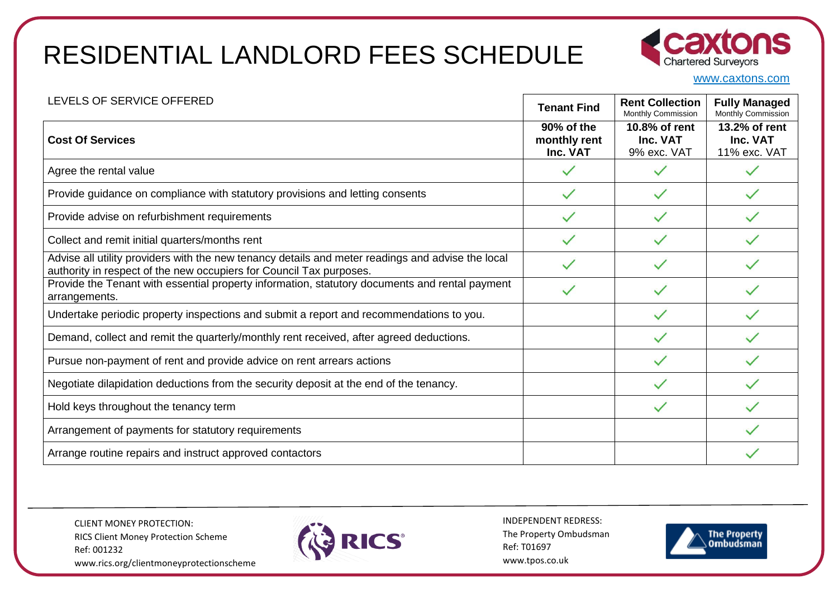

www.caxtons.com

| LEVELS OF SERVICE OFFERED                                                                                                                                                | <b>Tenant Find</b>                     | <b>Rent Collection</b><br>Monthly Commission | <b>Fully Managed</b><br>Monthly Commission |
|--------------------------------------------------------------------------------------------------------------------------------------------------------------------------|----------------------------------------|----------------------------------------------|--------------------------------------------|
| <b>Cost Of Services</b>                                                                                                                                                  | 90% of the<br>monthly rent<br>Inc. VAT | 10.8% of rent<br>Inc. VAT<br>9% exc. VAT     | 13.2% of rent<br>Inc. VAT<br>11% exc. VAT  |
| Agree the rental value                                                                                                                                                   |                                        |                                              |                                            |
| Provide guidance on compliance with statutory provisions and letting consents                                                                                            |                                        |                                              |                                            |
| Provide advise on refurbishment requirements                                                                                                                             |                                        |                                              |                                            |
| Collect and remit initial quarters/months rent                                                                                                                           |                                        |                                              |                                            |
| Advise all utility providers with the new tenancy details and meter readings and advise the local<br>authority in respect of the new occupiers for Council Tax purposes. |                                        |                                              |                                            |
| Provide the Tenant with essential property information, statutory documents and rental payment<br>arrangements.                                                          |                                        |                                              |                                            |
| Undertake periodic property inspections and submit a report and recommendations to you.                                                                                  |                                        |                                              |                                            |
| Demand, collect and remit the quarterly/monthly rent received, after agreed deductions.                                                                                  |                                        |                                              |                                            |
| Pursue non-payment of rent and provide advice on rent arrears actions                                                                                                    |                                        |                                              |                                            |
| Negotiate dilapidation deductions from the security deposit at the end of the tenancy.                                                                                   |                                        |                                              |                                            |
| Hold keys throughout the tenancy term                                                                                                                                    |                                        |                                              |                                            |
| Arrangement of payments for statutory requirements                                                                                                                       |                                        |                                              |                                            |
| Arrange routine repairs and instruct approved contactors                                                                                                                 |                                        |                                              |                                            |

CLIENT MONEY PROTECTION: RICS Client Money Protection Scheme Ref: 001232 www.rics.org/clientmoneyprotectionscheme



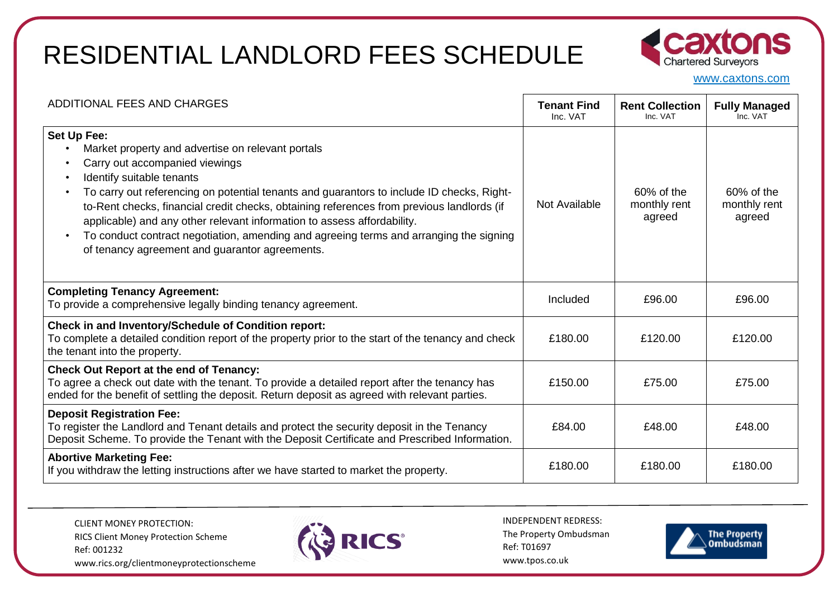

www.caxtons.com

| ADDITIONAL FEES AND CHARGES                                                                                                                                                                                                                                                                                                                                                                                                                                                                                                                                                                                       | <b>Tenant Find</b><br>Inc. VAT | <b>Rent Collection</b><br>Inc. VAT   | <b>Fully Managed</b><br>Inc. VAT     |
|-------------------------------------------------------------------------------------------------------------------------------------------------------------------------------------------------------------------------------------------------------------------------------------------------------------------------------------------------------------------------------------------------------------------------------------------------------------------------------------------------------------------------------------------------------------------------------------------------------------------|--------------------------------|--------------------------------------|--------------------------------------|
| Set Up Fee:<br>Market property and advertise on relevant portals<br>$\bullet$<br>Carry out accompanied viewings<br>$\bullet$<br>Identify suitable tenants<br>$\bullet$<br>To carry out referencing on potential tenants and guarantors to include ID checks, Right-<br>$\bullet$<br>to-Rent checks, financial credit checks, obtaining references from previous landlords (if<br>applicable) and any other relevant information to assess affordability.<br>To conduct contract negotiation, amending and agreeing terms and arranging the signing<br>$\bullet$<br>of tenancy agreement and guarantor agreements. | Not Available                  | 60% of the<br>monthly rent<br>agreed | 60% of the<br>monthly rent<br>agreed |
| <b>Completing Tenancy Agreement:</b><br>To provide a comprehensive legally binding tenancy agreement.                                                                                                                                                                                                                                                                                                                                                                                                                                                                                                             | Included                       | £96.00                               | £96.00                               |
| <b>Check in and Inventory/Schedule of Condition report:</b><br>To complete a detailed condition report of the property prior to the start of the tenancy and check<br>the tenant into the property.                                                                                                                                                                                                                                                                                                                                                                                                               | £180.00                        | £120.00                              | £120.00                              |
| <b>Check Out Report at the end of Tenancy:</b><br>To agree a check out date with the tenant. To provide a detailed report after the tenancy has<br>ended for the benefit of settling the deposit. Return deposit as agreed with relevant parties.                                                                                                                                                                                                                                                                                                                                                                 | £150.00                        | £75.00                               | £75.00                               |
| <b>Deposit Registration Fee:</b><br>To register the Landlord and Tenant details and protect the security deposit in the Tenancy<br>Deposit Scheme. To provide the Tenant with the Deposit Certificate and Prescribed Information.                                                                                                                                                                                                                                                                                                                                                                                 | £84.00                         | £48.00                               | £48.00                               |
| <b>Abortive Marketing Fee:</b><br>If you withdraw the letting instructions after we have started to market the property.                                                                                                                                                                                                                                                                                                                                                                                                                                                                                          | £180.00                        | £180.00                              | £180.00                              |

CLIENT MONEY PROTECTION: RICS Client Money Protection Scheme Ref: 001232 www.rics.org/clientmoneyprotectionscheme



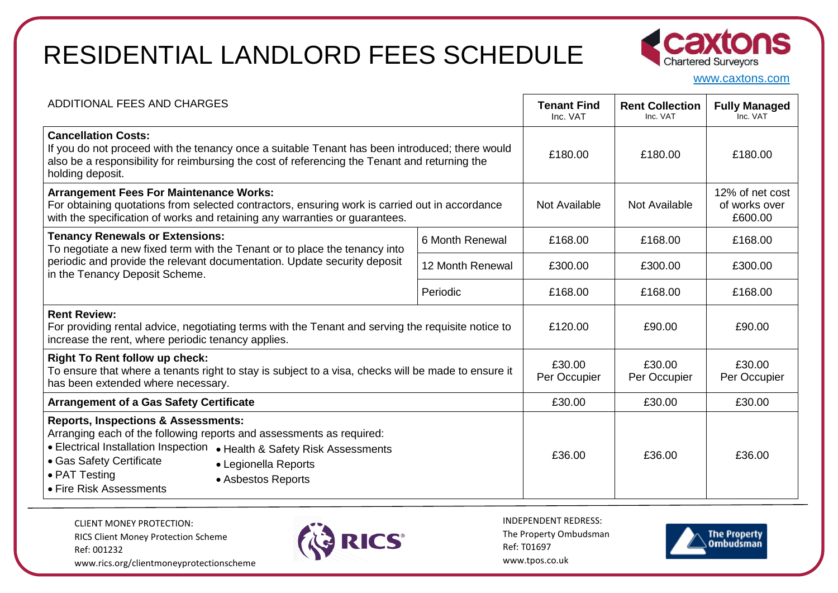

www.caxtons.com

| ADDITIONAL FEES AND CHARGES                                                                                                                                                                                                                                                                                                |                  | <b>Tenant Find</b><br>Inc. VAT | <b>Rent Collection</b><br>Inc. VAT | <b>Fully Managed</b><br>Inc. VAT            |
|----------------------------------------------------------------------------------------------------------------------------------------------------------------------------------------------------------------------------------------------------------------------------------------------------------------------------|------------------|--------------------------------|------------------------------------|---------------------------------------------|
| <b>Cancellation Costs:</b><br>If you do not proceed with the tenancy once a suitable Tenant has been introduced; there would<br>also be a responsibility for reimbursing the cost of referencing the Tenant and returning the<br>holding deposit.                                                                          |                  | £180.00                        | £180.00                            | £180.00                                     |
| <b>Arrangement Fees For Maintenance Works:</b><br>For obtaining quotations from selected contractors, ensuring work is carried out in accordance<br>with the specification of works and retaining any warranties or guarantees.                                                                                            |                  | Not Available                  | Not Available                      | 12% of net cost<br>of works over<br>£600.00 |
| <b>Tenancy Renewals or Extensions:</b><br>To negotiate a new fixed term with the Tenant or to place the tenancy into<br>periodic and provide the relevant documentation. Update security deposit<br>in the Tenancy Deposit Scheme.                                                                                         | 6 Month Renewal  | £168.00                        | £168.00                            | £168.00                                     |
|                                                                                                                                                                                                                                                                                                                            | 12 Month Renewal | £300.00                        | £300.00                            | £300.00                                     |
|                                                                                                                                                                                                                                                                                                                            | Periodic         | £168.00                        | £168.00                            | £168.00                                     |
| <b>Rent Review:</b><br>For providing rental advice, negotiating terms with the Tenant and serving the requisite notice to<br>increase the rent, where periodic tenancy applies.                                                                                                                                            |                  | £120.00                        | £90.00                             | £90.00                                      |
| <b>Right To Rent follow up check:</b><br>To ensure that where a tenants right to stay is subject to a visa, checks will be made to ensure it<br>has been extended where necessary.                                                                                                                                         |                  | £30.00<br>Per Occupier         | £30.00<br>Per Occupier             | £30.00<br>Per Occupier                      |
| <b>Arrangement of a Gas Safety Certificate</b>                                                                                                                                                                                                                                                                             |                  | £30.00                         | £30.00                             | £30.00                                      |
| <b>Reports, Inspections &amp; Assessments:</b><br>Arranging each of the following reports and assessments as required:<br>• Electrical Installation Inspection<br>• Health & Safety Risk Assessments<br>• Gas Safety Certificate<br>• Legionella Reports<br>• PAT Testing<br>• Asbestos Reports<br>• Fire Risk Assessments |                  | £36.00                         | £36.00                             | £36.00                                      |

CLIENT MONEY PROTECTION: RICS Client Money Protection Scheme Ref: 001232 www.rics.org/clientmoneyprotectionscheme